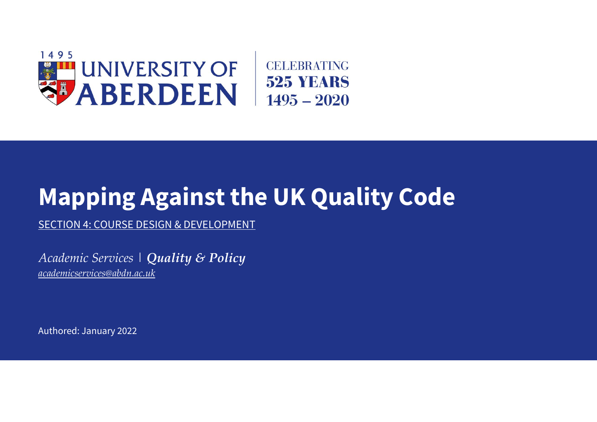

## **Mapping Against the UK Quality Code**

SECTION 4: COURSE DESIGN & DEVELOPMENT

*Academic Services | Quality & Policy [academicservices@abdn.ac.uk](mailto:academicservices@abdn.ac.uk)*

Authored: January 2022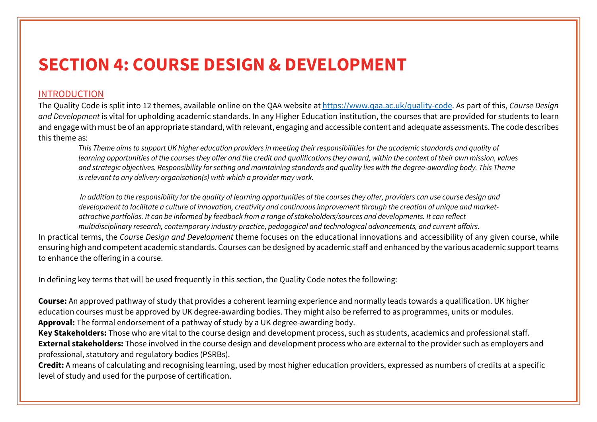## **SECTION 4: COURSE DESIGN & DEVELOPMENT**

## INTRODUCTION

The Quality Code is split into 12 themes, available online on the QAA website at [https://www.qaa.ac.uk/quality-code.](https://www.qaa.ac.uk/quality-code) As part of this, *Course Design and Development* is vital for upholding academic standards. In any Higher Education institution, the courses that are provided for students to learn and engage with must be of an appropriate standard, with relevant, engaging and accessible content and adequate assessments. The code describes this theme as:

*This Theme aims to support UK higher education providers in meeting their responsibilities for the academic standards and quality of learning opportunities of the courses they offer and the credit and qualifications they award, within the context of their own mission, values and strategic objectives. Responsibility for setting and maintaining standards and quality lies with the degree-awarding body. This Theme is relevant to any delivery organisation(s) with which a provider may work.*

*In addition to the responsibility for the quality of learning opportunities of the courses they offer, providers can use course design and development to facilitate a culture of innovation, creativity and continuous improvement through the creation of unique and marketattractive portfolios. It can be informed by feedback from a range of stakeholders/sources and developments. It can reflect multidisciplinary research, contemporary industry practice, pedagogical and technological advancements, and current affairs.* 

In practical terms, the *Course Design and Development* theme focuses on the educational innovations and accessibility of any given course, while ensuring high and competent academic standards. Courses can be designed by academic staff and enhanced by the various academic support teams to enhance the offering in a course.

In defining key terms that will be used frequently in this section, the Quality Code notes the following:

**Course:** An approved pathway of study that provides a coherent learning experience and normally leads towards a qualification. UK higher education courses must be approved by UK degree-awarding bodies. They might also be referred to as programmes, units or modules. **Approval:** The formal endorsement of a pathway of study by a UK degree-awarding body.

**Key Stakeholders:** Those who are vital to the course design and development process, such as students, academics and professional staff. **External stakeholders:** Those involved in the course design and development process who are external to the provider such as employers and professional, statutory and regulatory bodies (PSRBs).

**Credit:** A means of calculating and recognising learning, used by most higher education providers, expressed as numbers of credits at a specific level of study and used for the purpose of certification.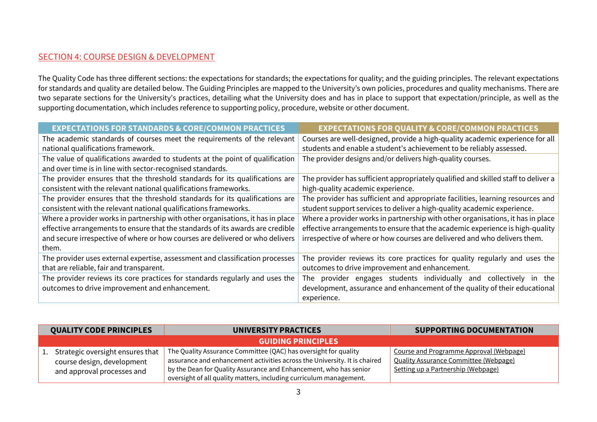## SECTION 4: COURSE DESIGN & DEVELOPMENT

The Quality Code has three different sections: the expectations for standards; the expectations for quality; and the guiding principles. The relevant expectations for standards and quality are detailed below. The Guiding Principles are mapped to the University's own policies, procedures and quality mechanisms. There are two separate sections for the University's practices, detailing what the University does and has in place to support that expectation/principle, as well as the supporting documentation, which includes reference to supporting policy, procedure, website or other document.

| <b>EXPECTATIONS FOR STANDARDS &amp; CORE/COMMON PRACTICES</b>                   | <b>EXPECTATIONS FOR QUALITY &amp; CORE/COMMON PRACTICES</b>                        |  |
|---------------------------------------------------------------------------------|------------------------------------------------------------------------------------|--|
| The academic standards of courses meet the requirements of the relevant         | Courses are well-designed, provide a high-quality academic experience for all      |  |
| national qualifications framework.                                              | students and enable a student's achievement to be reliably assessed.               |  |
| The value of qualifications awarded to students at the point of qualification   | The provider designs and/or delivers high-quality courses.                         |  |
| and over time is in line with sector-recognised standards.                      |                                                                                    |  |
| The provider ensures that the threshold standards for its qualifications are    | The provider has sufficient appropriately qualified and skilled staff to deliver a |  |
| consistent with the relevant national qualifications frameworks.                | high-quality academic experience.                                                  |  |
| The provider ensures that the threshold standards for its qualifications are    | The provider has sufficient and appropriate facilities, learning resources and     |  |
| consistent with the relevant national qualifications frameworks.                | student support services to deliver a high-quality academic experience.            |  |
| Where a provider works in partnership with other organisations, it has in place | Where a provider works in partnership with other organisations, it has in place    |  |
| effective arrangements to ensure that the standards of its awards are credible  | effective arrangements to ensure that the academic experience is high-quality      |  |
| and secure irrespective of where or how courses are delivered or who delivers   | irrespective of where or how courses are delivered and who delivers them.          |  |
| them.                                                                           |                                                                                    |  |
| The provider uses external expertise, assessment and classification processes   | The provider reviews its core practices for quality regularly and uses the         |  |
| that are reliable, fair and transparent.                                        | outcomes to drive improvement and enhancement.                                     |  |
| The provider reviews its core practices for standards regularly and uses the    | provider engages students individually and<br>The<br>collectively<br>the<br>-in    |  |
| outcomes to drive improvement and enhancement.                                  | development, assurance and enhancement of the quality of their educational         |  |
|                                                                                 | experience.                                                                        |  |

| <b>QUALITY CODE PRINCIPLES</b>                                                                  | UNIVERSITY PRACTICES                                                                                                                                                                                                                                                                    | <b>SUPPORTING DOCUMENTATION</b>                                                                                               |  |
|-------------------------------------------------------------------------------------------------|-----------------------------------------------------------------------------------------------------------------------------------------------------------------------------------------------------------------------------------------------------------------------------------------|-------------------------------------------------------------------------------------------------------------------------------|--|
| <b>GUIDING PRINCIPLES</b>                                                                       |                                                                                                                                                                                                                                                                                         |                                                                                                                               |  |
| 1. Strategic oversight ensures that<br>course design, development<br>and approval processes and | The Quality Assurance Committee (QAC) has oversight for quality<br>assurance and enhancement activities across the University. It is chaired<br>by the Dean for Quality Assurance and Enhancement, who has senior<br>oversight of all quality matters, including curriculum management. | Course and Programme Approval (Webpage)<br><b>Quality Assurance Committee (Webpage)</b><br>Setting up a Partnership (Webpage) |  |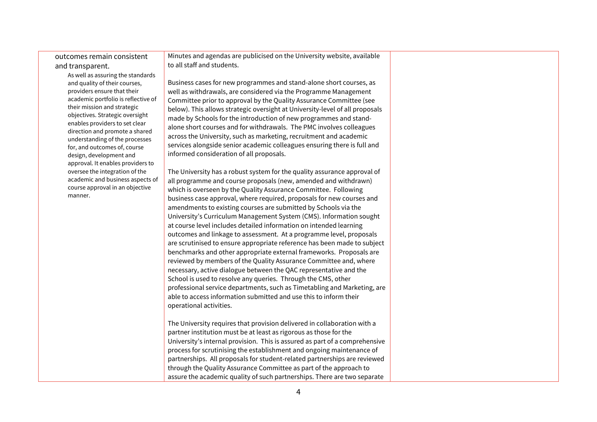outcomes remain consistent and transparent.

> As well as assuring the standards and quality of their courses, providers ensure that their academic portfolio is reflective of their mission and strategic objectives. Strategic oversight enables providers to set clear direction and promote a shared understanding of the processes for, and outcomes of, course design, development and approval. It enables providers to oversee the integration of the academic and business aspects of course approval in an objective manner.

Minutes and agendas are publicised on the University website, available to all staff and students.

Business cases for new programmes and stand-alone short courses, as well as withdrawals, are considered via the Programme Management Committee prior to approval by the Quality Assurance Committee (see below). This allows strategic oversight at University-level of all proposals made by Schools for the introduction of new programmes and standalone short courses and for withdrawals. The PMC involves colleagues across the University, such as marketing, recruitment and academic services alongside senior academic colleagues ensuring there is full and informed consideration of all proposals.

The University has a robust system for the quality assurance approval of all programme and course proposals (new, amended and withdrawn) which is overseen by the Quality Assurance Committee. Following business case approval, where required, proposals for new courses and amendments to existing courses are submitted by Schools via the University's Curriculum Management System (CMS). Information sought at course level includes detailed information on intended learning outcomes and linkage to assessment. At a programme level, proposals are scrutinised to ensure appropriate reference has been made to subject benchmarks and other appropriate external frameworks. Proposals are reviewed by members of the Quality Assurance Committee and, where necessary, active dialogue between the QAC representative and the School is used to resolve any queries. Through the CMS, other professional service departments, such as Timetabling and Marketing, are able to access information submitted and use this to inform their operational activities.

The University requires that provision delivered in collaboration with a partner institution must be at least as rigorous as those for the University's internal provision. This is assured as part of a comprehensive process for scrutinising the establishment and ongoing maintenance of partnerships. All proposals for student-related partnerships are reviewed through the Quality Assurance Committee as part of the approach to assure the academic quality of such partnerships. There are two separate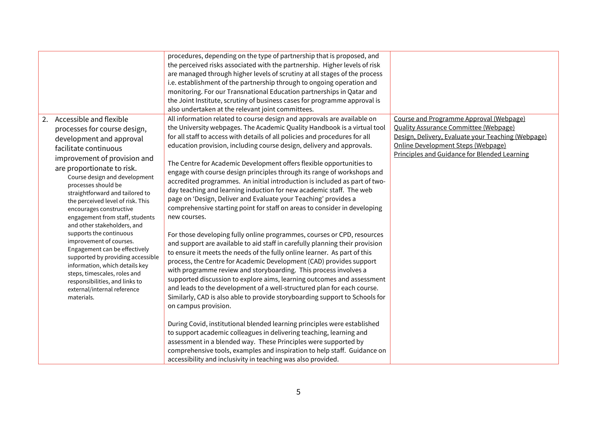|    |                                                                                                                                                                                                                                                                                                                                                                                                                                    | procedures, depending on the type of partnership that is proposed, and<br>the perceived risks associated with the partnership. Higher levels of risk<br>are managed through higher levels of scrutiny at all stages of the process<br>i.e. establishment of the partnership through to ongoing operation and<br>monitoring. For our Transnational Education partnerships in Qatar and<br>the Joint Institute, scrutiny of business cases for programme approval is<br>also undertaken at the relevant joint committees.                                                                                                                                                                                                                                                                                                                                                                                                            |                                                                                                                                                                                                                                            |
|----|------------------------------------------------------------------------------------------------------------------------------------------------------------------------------------------------------------------------------------------------------------------------------------------------------------------------------------------------------------------------------------------------------------------------------------|------------------------------------------------------------------------------------------------------------------------------------------------------------------------------------------------------------------------------------------------------------------------------------------------------------------------------------------------------------------------------------------------------------------------------------------------------------------------------------------------------------------------------------------------------------------------------------------------------------------------------------------------------------------------------------------------------------------------------------------------------------------------------------------------------------------------------------------------------------------------------------------------------------------------------------|--------------------------------------------------------------------------------------------------------------------------------------------------------------------------------------------------------------------------------------------|
| 2. | Accessible and flexible<br>processes for course design,<br>development and approval<br>facilitate continuous<br>improvement of provision and<br>are proportionate to risk.<br>Course design and development<br>processes should be<br>straightforward and tailored to<br>the perceived level of risk. This<br>encourages constructive<br>engagement from staff, students<br>and other stakeholders, and<br>supports the continuous | All information related to course design and approvals are available on<br>the University webpages. The Academic Quality Handbook is a virtual tool<br>for all staff to access with details of all policies and procedures for all<br>education provision, including course design, delivery and approvals.<br>The Centre for Academic Development offers flexible opportunities to<br>engage with course design principles through its range of workshops and<br>accredited programmes. An initial introduction is included as part of two-<br>day teaching and learning induction for new academic staff. The web<br>page on 'Design, Deliver and Evaluate your Teaching' provides a<br>comprehensive starting point for staff on areas to consider in developing<br>new courses.<br>For those developing fully online programmes, courses or CPD, resources                                                                     | Course and Programme Approval (Webpage)<br><b>Quality Assurance Committee (Webpage)</b><br>Design, Delivery, Evaluate your Teaching (Webpage)<br><b>Online Development Steps (Webpage)</b><br>Principles and Guidance for Blended Learning |
|    | improvement of courses.<br>Engagement can be effectively<br>supported by providing accessible<br>information, which details key<br>steps, timescales, roles and<br>responsibilities, and links to<br>external/internal reference<br>materials.                                                                                                                                                                                     | and support are available to aid staff in carefully planning their provision<br>to ensure it meets the needs of the fully online learner. As part of this<br>process, the Centre for Academic Development (CAD) provides support<br>with programme review and storyboarding. This process involves a<br>supported discussion to explore aims, learning outcomes and assessment<br>and leads to the development of a well-structured plan for each course.<br>Similarly, CAD is also able to provide storyboarding support to Schools for<br>on campus provision.<br>During Covid, institutional blended learning principles were established<br>to support academic colleagues in delivering teaching, learning and<br>assessment in a blended way. These Principles were supported by<br>comprehensive tools, examples and inspiration to help staff. Guidance on<br>accessibility and inclusivity in teaching was also provided. |                                                                                                                                                                                                                                            |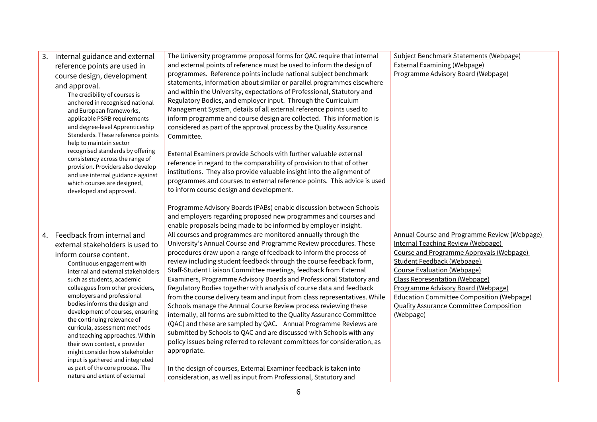| 3. | Internal guidance and external<br>reference points are used in<br>course design, development<br>and approval.<br>The credibility of courses is<br>anchored in recognised national<br>and European frameworks,<br>applicable PSRB requirements<br>and degree-level Apprenticeship<br>Standards. These reference points                                                                                                                                                                                                                                                                                            | The University programme proposal forms for QAC require that internal<br>and external points of reference must be used to inform the design of<br>programmes. Reference points include national subject benchmark<br>statements, information about similar or parallel programmes elsewhere<br>and within the University, expectations of Professional, Statutory and<br>Regulatory Bodies, and employer input. Through the Curriculum<br>Management System, details of all external reference points used to<br>inform programme and course design are collected. This information is<br>considered as part of the approval process by the Quality Assurance<br>Committee.                                                                                                                                                                                                                                                                                                                                                                                                                                   | Subject Benchmark Statements (Webpage)<br><b>External Examining (Webpage)</b><br>Programme Advisory Board (Webpage)                                                                                                                                                                                                                                                                                         |
|----|------------------------------------------------------------------------------------------------------------------------------------------------------------------------------------------------------------------------------------------------------------------------------------------------------------------------------------------------------------------------------------------------------------------------------------------------------------------------------------------------------------------------------------------------------------------------------------------------------------------|---------------------------------------------------------------------------------------------------------------------------------------------------------------------------------------------------------------------------------------------------------------------------------------------------------------------------------------------------------------------------------------------------------------------------------------------------------------------------------------------------------------------------------------------------------------------------------------------------------------------------------------------------------------------------------------------------------------------------------------------------------------------------------------------------------------------------------------------------------------------------------------------------------------------------------------------------------------------------------------------------------------------------------------------------------------------------------------------------------------|-------------------------------------------------------------------------------------------------------------------------------------------------------------------------------------------------------------------------------------------------------------------------------------------------------------------------------------------------------------------------------------------------------------|
|    | help to maintain sector<br>recognised standards by offering<br>consistency across the range of<br>provision. Providers also develop<br>and use internal guidance against<br>which courses are designed,<br>developed and approved.                                                                                                                                                                                                                                                                                                                                                                               | External Examiners provide Schools with further valuable external<br>reference in regard to the comparability of provision to that of other<br>institutions. They also provide valuable insight into the alignment of<br>programmes and courses to external reference points. This advice is used<br>to inform course design and development.<br>Programme Advisory Boards (PABs) enable discussion between Schools                                                                                                                                                                                                                                                                                                                                                                                                                                                                                                                                                                                                                                                                                           |                                                                                                                                                                                                                                                                                                                                                                                                             |
|    |                                                                                                                                                                                                                                                                                                                                                                                                                                                                                                                                                                                                                  | and employers regarding proposed new programmes and courses and<br>enable proposals being made to be informed by employer insight.                                                                                                                                                                                                                                                                                                                                                                                                                                                                                                                                                                                                                                                                                                                                                                                                                                                                                                                                                                            |                                                                                                                                                                                                                                                                                                                                                                                                             |
| 4. | Feedback from internal and<br>external stakeholders is used to<br>inform course content.<br>Continuous engagement with<br>internal and external stakeholders<br>such as students, academic<br>colleagues from other providers,<br>employers and professional<br>bodies informs the design and<br>development of courses, ensuring<br>the continuing relevance of<br>curricula, assessment methods<br>and teaching approaches. Within<br>their own context, a provider<br>might consider how stakeholder<br>input is gathered and integrated<br>as part of the core process. The<br>nature and extent of external | All courses and programmes are monitored annually through the<br>University's Annual Course and Programme Review procedures. These<br>procedures draw upon a range of feedback to inform the process of<br>review including student feedback through the course feedback form,<br>Staff-Student Liaison Committee meetings, feedback from External<br>Examiners, Programme Advisory Boards and Professional Statutory and<br>Regulatory Bodies together with analysis of course data and feedback<br>from the course delivery team and input from class representatives. While<br>Schools manage the Annual Course Review process reviewing these<br>internally, all forms are submitted to the Quality Assurance Committee<br>(QAC) and these are sampled by QAC. Annual Programme Reviews are<br>submitted by Schools to QAC and are discussed with Schools with any<br>policy issues being referred to relevant committees for consideration, as<br>appropriate.<br>In the design of courses, External Examiner feedback is taken into<br>consideration, as well as input from Professional, Statutory and | <b>Annual Course and Programme Review (Webpage)</b><br><b>Internal Teaching Review (Webpage)</b><br>Course and Programme Approvals (Webpage)<br>Student Feedback (Webpage)<br>Course Evaluation (Webpage)<br><b>Class Representation (Webpage)</b><br>Programme Advisory Board (Webpage)<br><b>Education Committee Composition (Webpage)</b><br><b>Quality Assurance Committee Composition</b><br>(Webpage) |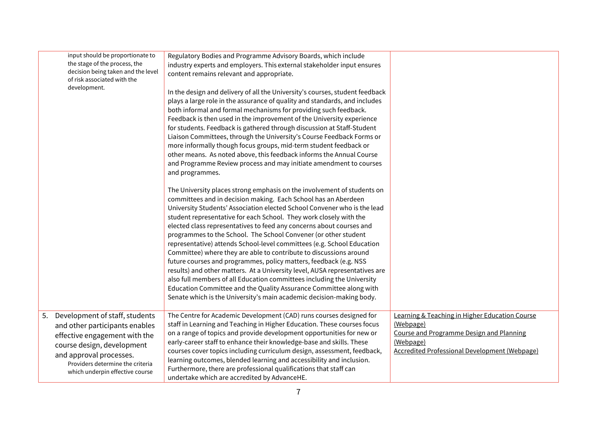| input should be proportionate to<br>the stage of the process, the<br>decision being taken and the level<br>of risk associated with the                                                                                               | Regulatory Bodies and Programme Advisory Boards, which include<br>industry experts and employers. This external stakeholder input ensures<br>content remains relevant and appropriate.                                                                                                                                                                                                                                                                                                                                                                                                                                                                                                                                                                                                                                                                                                                                                                             |                                                                                                                                                                              |
|--------------------------------------------------------------------------------------------------------------------------------------------------------------------------------------------------------------------------------------|--------------------------------------------------------------------------------------------------------------------------------------------------------------------------------------------------------------------------------------------------------------------------------------------------------------------------------------------------------------------------------------------------------------------------------------------------------------------------------------------------------------------------------------------------------------------------------------------------------------------------------------------------------------------------------------------------------------------------------------------------------------------------------------------------------------------------------------------------------------------------------------------------------------------------------------------------------------------|------------------------------------------------------------------------------------------------------------------------------------------------------------------------------|
| development.                                                                                                                                                                                                                         | In the design and delivery of all the University's courses, student feedback<br>plays a large role in the assurance of quality and standards, and includes<br>both informal and formal mechanisms for providing such feedback.<br>Feedback is then used in the improvement of the University experience<br>for students. Feedback is gathered through discussion at Staff-Student<br>Liaison Committees, through the University's Course Feedback Forms or<br>more informally though focus groups, mid-term student feedback or<br>other means. As noted above, this feedback informs the Annual Course<br>and Programme Review process and may initiate amendment to courses<br>and programmes.                                                                                                                                                                                                                                                                   |                                                                                                                                                                              |
|                                                                                                                                                                                                                                      | The University places strong emphasis on the involvement of students on<br>committees and in decision making. Each School has an Aberdeen<br>University Students' Association elected School Convener who is the lead<br>student representative for each School. They work closely with the<br>elected class representatives to feed any concerns about courses and<br>programmes to the School. The School Convener (or other student<br>representative) attends School-level committees (e.g. School Education<br>Committee) where they are able to contribute to discussions around<br>future courses and programmes, policy matters, feedback (e.g. NSS<br>results) and other matters. At a University level, AUSA representatives are<br>also full members of all Education committees including the University<br>Education Committee and the Quality Assurance Committee along with<br>Senate which is the University's main academic decision-making body. |                                                                                                                                                                              |
| 5. Development of staff, students<br>and other participants enables<br>effective engagement with the<br>course design, development<br>and approval processes.<br>Providers determine the criteria<br>which underpin effective course | The Centre for Academic Development (CAD) runs courses designed for<br>staff in Learning and Teaching in Higher Education. These courses focus<br>on a range of topics and provide development opportunities for new or<br>early-career staff to enhance their knowledge-base and skills. These<br>courses cover topics including curriculum design, assessment, feedback,<br>learning outcomes, blended learning and accessibility and inclusion.<br>Furthermore, there are professional qualifications that staff can<br>undertake which are accredited by AdvanceHE.                                                                                                                                                                                                                                                                                                                                                                                            | Learning & Teaching in Higher Education Course<br>(Webpage)<br>Course and Programme Design and Planning<br>(Webpage)<br><b>Accredited Professional Development (Webpage)</b> |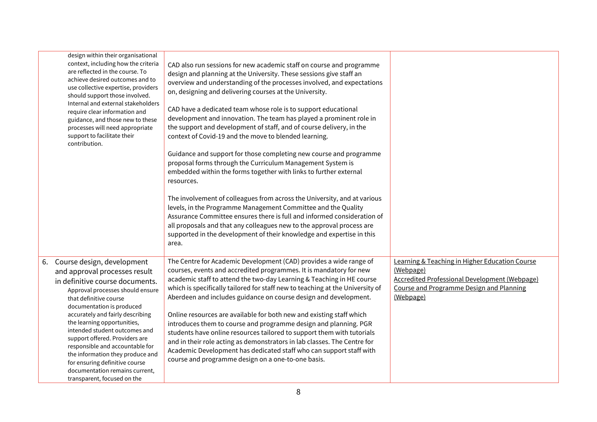|    | design within their organisational<br>context, including how the criteria<br>are reflected in the course. To<br>achieve desired outcomes and to<br>use collective expertise, providers<br>should support those involved.<br>Internal and external stakeholders<br>require clear information and<br>guidance, and those new to these<br>processes will need appropriate<br>support to facilitate their<br>contribution.                                                                                    | CAD also run sessions for new academic staff on course and programme<br>design and planning at the University. These sessions give staff an<br>overview and understanding of the processes involved, and expectations<br>on, designing and delivering courses at the University.<br>CAD have a dedicated team whose role is to support educational<br>development and innovation. The team has played a prominent role in<br>the support and development of staff, and of course delivery, in the<br>context of Covid-19 and the move to blended learning.<br>Guidance and support for those completing new course and programme<br>proposal forms through the Curriculum Management System is<br>embedded within the forms together with links to further external<br>resources.<br>The involvement of colleagues from across the University, and at various<br>levels, in the Programme Management Committee and the Quality<br>Assurance Committee ensures there is full and informed consideration of<br>all proposals and that any colleagues new to the approval process are<br>supported in the development of their knowledge and expertise in this<br>area. |                                                                                                                                                                                         |
|----|-----------------------------------------------------------------------------------------------------------------------------------------------------------------------------------------------------------------------------------------------------------------------------------------------------------------------------------------------------------------------------------------------------------------------------------------------------------------------------------------------------------|----------------------------------------------------------------------------------------------------------------------------------------------------------------------------------------------------------------------------------------------------------------------------------------------------------------------------------------------------------------------------------------------------------------------------------------------------------------------------------------------------------------------------------------------------------------------------------------------------------------------------------------------------------------------------------------------------------------------------------------------------------------------------------------------------------------------------------------------------------------------------------------------------------------------------------------------------------------------------------------------------------------------------------------------------------------------------------------------------------------------------------------------------------------------|-----------------------------------------------------------------------------------------------------------------------------------------------------------------------------------------|
| 6. | Course design, development<br>and approval processes result<br>in definitive course documents.<br>Approval processes should ensure<br>that definitive course<br>documentation is produced<br>accurately and fairly describing<br>the learning opportunities,<br>intended student outcomes and<br>support offered. Providers are<br>responsible and accountable for<br>the information they produce and<br>for ensuring definitive course<br>documentation remains current,<br>transparent, focused on the | The Centre for Academic Development (CAD) provides a wide range of<br>courses, events and accredited programmes. It is mandatory for new<br>academic staff to attend the two-day Learning & Teaching in HE course<br>which is specifically tailored for staff new to teaching at the University of<br>Aberdeen and includes guidance on course design and development.<br>Online resources are available for both new and existing staff which<br>introduces them to course and programme design and planning. PGR<br>students have online resources tailored to support them with tutorials<br>and in their role acting as demonstrators in lab classes. The Centre for<br>Academic Development has dedicated staff who can support staff with<br>course and programme design on a one-to-one basis.                                                                                                                                                                                                                                                                                                                                                                | <b>Learning &amp; Teaching in Higher Education Course</b><br>(Webpage)<br><b>Accredited Professional Development (Webpage)</b><br>Course and Programme Design and Planning<br>(Webpage) |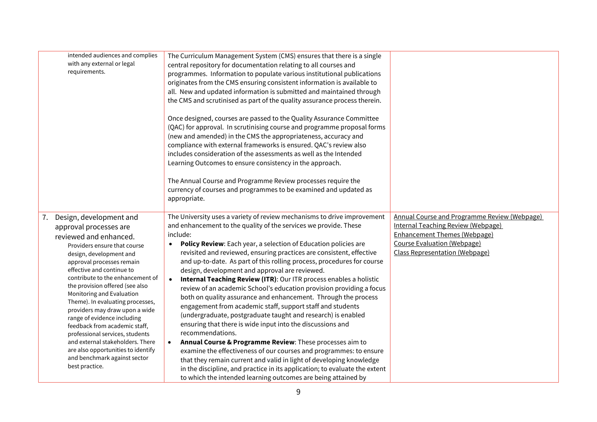|    | intended audiences and complies                                     | The Curriculum Management System (CMS) ensures that there is a single           |                                              |
|----|---------------------------------------------------------------------|---------------------------------------------------------------------------------|----------------------------------------------|
|    | with any external or legal                                          | central repository for documentation relating to all courses and                |                                              |
|    | requirements.                                                       | programmes. Information to populate various institutional publications          |                                              |
|    |                                                                     | originates from the CMS ensuring consistent information is available to         |                                              |
|    |                                                                     | all. New and updated information is submitted and maintained through            |                                              |
|    |                                                                     | the CMS and scrutinised as part of the quality assurance process therein.       |                                              |
|    |                                                                     |                                                                                 |                                              |
|    |                                                                     | Once designed, courses are passed to the Quality Assurance Committee            |                                              |
|    |                                                                     | (QAC) for approval. In scrutinising course and programme proposal forms         |                                              |
|    |                                                                     | (new and amended) in the CMS the appropriateness, accuracy and                  |                                              |
|    |                                                                     | compliance with external frameworks is ensured. QAC's review also               |                                              |
|    |                                                                     | includes consideration of the assessments as well as the Intended               |                                              |
|    |                                                                     | Learning Outcomes to ensure consistency in the approach.                        |                                              |
|    |                                                                     |                                                                                 |                                              |
|    |                                                                     | The Annual Course and Programme Review processes require the                    |                                              |
|    |                                                                     | currency of courses and programmes to be examined and updated as                |                                              |
|    |                                                                     | appropriate.                                                                    |                                              |
|    |                                                                     |                                                                                 |                                              |
| 7. | Design, development and                                             | The University uses a variety of review mechanisms to drive improvement         | Annual Course and Programme Review (Webpage) |
|    | approval processes are                                              | and enhancement to the quality of the services we provide. These                | <b>Internal Teaching Review (Webpage)</b>    |
|    | reviewed and enhanced.                                              | include:                                                                        | <b>Enhancement Themes (Webpage)</b>          |
|    | Providers ensure that course                                        | Policy Review: Each year, a selection of Education policies are<br>$\bullet$    | Course Evaluation (Webpage)                  |
|    | design, development and                                             | revisited and reviewed, ensuring practices are consistent, effective            | <b>Class Representation (Webpage)</b>        |
|    | approval processes remain                                           | and up-to-date. As part of this rolling process, procedures for course          |                                              |
|    | effective and continue to                                           | design, development and approval are reviewed.                                  |                                              |
|    | contribute to the enhancement of<br>the provision offered (see also | Internal Teaching Review (ITR): Our ITR process enables a holistic<br>$\bullet$ |                                              |
|    | Monitoring and Evaluation                                           | review of an academic School's education provision providing a focus            |                                              |
|    | Theme). In evaluating processes,                                    | both on quality assurance and enhancement. Through the process                  |                                              |
|    | providers may draw upon a wide                                      | engagement from academic staff, support staff and students                      |                                              |
|    | range of evidence including                                         | (undergraduate, postgraduate taught and research) is enabled                    |                                              |
|    | feedback from academic staff,                                       | ensuring that there is wide input into the discussions and                      |                                              |
|    | professional services, students                                     | recommendations.                                                                |                                              |
|    | and external stakeholders. There                                    | Annual Course & Programme Review: These processes aim to<br>$\bullet$           |                                              |
|    | are also opportunities to identify                                  | examine the effectiveness of our courses and programmes: to ensure              |                                              |
|    | and benchmark against sector<br>best practice.                      | that they remain current and valid in light of developing knowledge             |                                              |
|    |                                                                     | in the discipline, and practice in its application; to evaluate the extent      |                                              |
|    |                                                                     | to which the intended learning outcomes are being attained by                   |                                              |